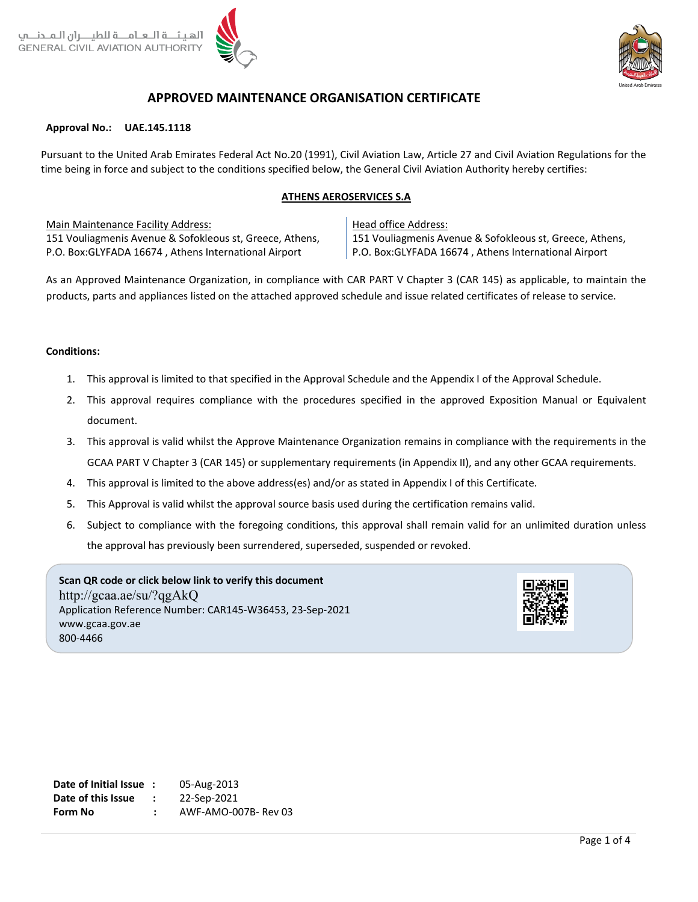

# **APPROVED MAINTENANCE ORGANISATION CERTIFICATE**

### **Approval No.: UAE.145.1118**

Pursuant to the United Arab Emirates Federal Act No.20 (1991), Civil Aviation Law, Article 27 and Civil Aviation Regulations for the time being in force and subject to the conditions specified below, the General Civil Aviation Authority hereby certifies:

### **ATHENS AEROSERVICES S.A**

Main Maintenance Facility Address: 151 Vouliagmenis Avenue & Sofokleous st, Greece, Athens, P.O. Box:GLYFADA 16674 , Athens International Airport

Head office Address:

151 Vouliagmenis Avenue & Sofokleous st, Greece, Athens, P.O. Box:GLYFADA 16674 , Athens International Airport

As an Approved Maintenance Organization, in compliance with CAR PART V Chapter 3 (CAR 145) as applicable, to maintain the products, parts and appliances listed on the attached approved schedule and issue related certificates of release to service.

#### **Conditions:**

- 1. This approval is limited to that specified in the Approval Schedule and the Appendix I of the Approval Schedule.
- 2. This approval requires compliance with the procedures specified in the approved Exposition Manual or Equivalent document.
- 3. This approval is valid whilst the Approve Maintenance Organization remains in compliance with the requirements in the GCAA PART V Chapter 3 (CAR 145) or supplementary requirements (in Appendix II), and any other GCAA requirements.
- 4. This approval is limited to the above address(es) and/or as stated in Appendix I of this Certificate.
- 5. This Approval is valid whilst the approval source basis used during the certification remains valid.
- 6. Subject to compliance with the foregoing conditions, this approval shall remain valid for an unlimited duration unless the approval has previously been surrendered, superseded, suspended or revoked.

**Scan QR code or click below link to verify this document** http://gcaa.ae/su/?qgAkQ Application Reference Number: CAR145-W36453, 23-Sep-2021 www.gcaa.gov.ae 800-4466



**Date of Initial Issue :** 05-Aug-2013 **Date of this Issue :** 22-Sep-2021 **Form No :** AWF-AMO-007B- Rev 03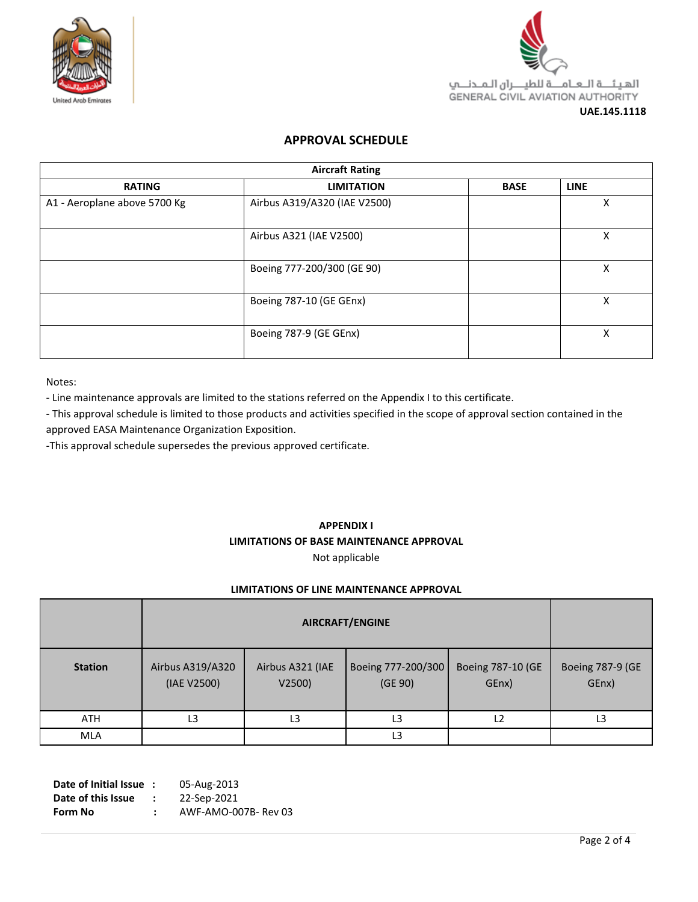



الهيئـــة الــعــامــــة للطيــــران الـمــدنــــمي GENERAL CIVIL AVIATION AUTHORITY

**UAE.145.1118**

# **APPROVAL SCHEDULE**

| <b>Aircraft Rating</b>       |                              |             |             |  |  |
|------------------------------|------------------------------|-------------|-------------|--|--|
| <b>RATING</b>                | <b>LIMITATION</b>            | <b>BASE</b> | <b>LINE</b> |  |  |
| A1 - Aeroplane above 5700 Kg | Airbus A319/A320 (IAE V2500) |             | x           |  |  |
|                              | Airbus A321 (IAE V2500)      |             | x           |  |  |
|                              | Boeing 777-200/300 (GE 90)   |             | Χ           |  |  |
|                              | Boeing 787-10 (GE GEnx)      |             | Χ           |  |  |
|                              | Boeing 787-9 (GE GEnx)       |             | Χ           |  |  |

## Notes:

- Line maintenance approvals are limited to the stations referred on the Appendix I to this certificate.

- This approval schedule is limited to those products and activities specified in the scope of approval section contained in the approved EASA Maintenance Organization Exposition.

-This approval schedule supersedes the previous approved certificate.

# **APPENDIX I LIMITATIONS OF BASE MAINTENANCE APPROVAL** Not applicable

## **LIMITATIONS OF LINE MAINTENANCE APPROVAL**

| <b>Station</b> | Airbus A319/A320<br>(IAE V2500) | Airbus A321 (IAE<br>V2500) | Boeing 777-200/300<br>(GE 90) | Boeing 787-10 (GE<br>GEnx) | Boeing 787-9 (GE<br>GEnx) |
|----------------|---------------------------------|----------------------------|-------------------------------|----------------------------|---------------------------|
| ATH            | L3                              | L <sub>3</sub>             | L3                            | L <sub>2</sub>             | L3                        |
| <b>MLA</b>     |                                 |                            | L3                            |                            |                           |

| Date of Initial Issue: | 05-Aug-2013          |
|------------------------|----------------------|
| Date of this Issue     | 22-Sep-2021          |
| Form No                | AWF-AMO-007B- Rev 03 |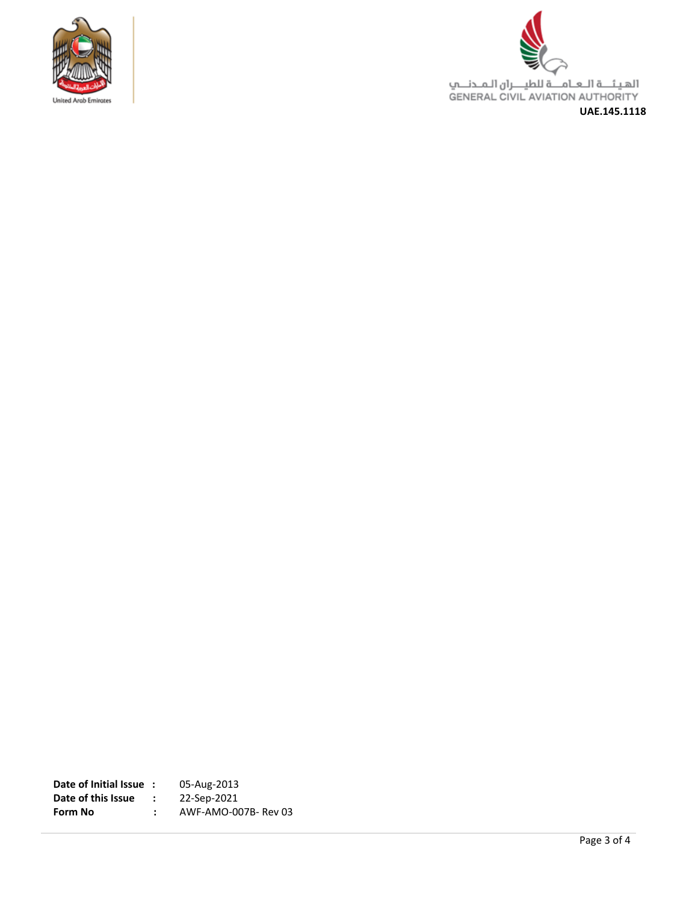



الهيئـــة الــعــامــــة للطيــــران الـمــدنــــمي<br>GENERAL CIVIL AVIATION AUTHORITY

**UAE.145.1118**

**Date of Initial Issue : 05-Aug-2013**<br>**Date of this Issue : 22-Sep-2021** Date of this Issue : **Form No :** AWF-AMO-007B- Rev 03